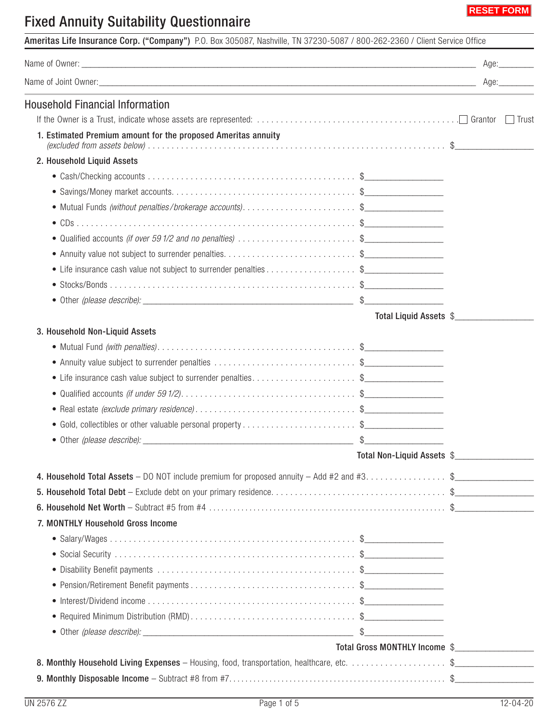

## Fixed Annuity Suitability Questionnaire

|                                                                                             |                               | Age:_________ |
|---------------------------------------------------------------------------------------------|-------------------------------|---------------|
|                                                                                             |                               |               |
| <b>Household Financial Information</b>                                                      |                               |               |
|                                                                                             |                               | Trust         |
| 1. Estimated Premium amount for the proposed Ameritas annuity                               |                               |               |
| 2. Household Liquid Assets                                                                  |                               |               |
|                                                                                             |                               |               |
|                                                                                             |                               |               |
|                                                                                             |                               |               |
|                                                                                             |                               |               |
| • Qualified accounts (if over 591/2 and no penalties) \$                                    |                               |               |
|                                                                                             |                               |               |
| • Life insurance cash value not subject to surrender penalties\$                            |                               |               |
|                                                                                             |                               |               |
|                                                                                             |                               |               |
|                                                                                             | Total Liquid Assets \$        |               |
| 3. Household Non-Liquid Assets                                                              |                               |               |
|                                                                                             |                               |               |
|                                                                                             |                               |               |
| • Life insurance cash value subject to surrender penalties\$<br>                            |                               |               |
|                                                                                             |                               |               |
|                                                                                             |                               |               |
| • Gold, collectibles or other valuable personal property \$                                 |                               |               |
| · Other (please describe):                                                                  |                               |               |
|                                                                                             | Total Non-Liquid Assets \$    |               |
| 4. Household Total Assets - DO NOT include premium for proposed annuity - Add #2 and #3. \$ |                               |               |
|                                                                                             |                               |               |
|                                                                                             |                               |               |
| 7. MONTHLY Household Gross Income                                                           |                               |               |
|                                                                                             |                               |               |
|                                                                                             |                               |               |
|                                                                                             |                               |               |
|                                                                                             |                               |               |
|                                                                                             |                               |               |
|                                                                                             |                               |               |
|                                                                                             |                               |               |
|                                                                                             | Total Gross MONTHLY Income \$ |               |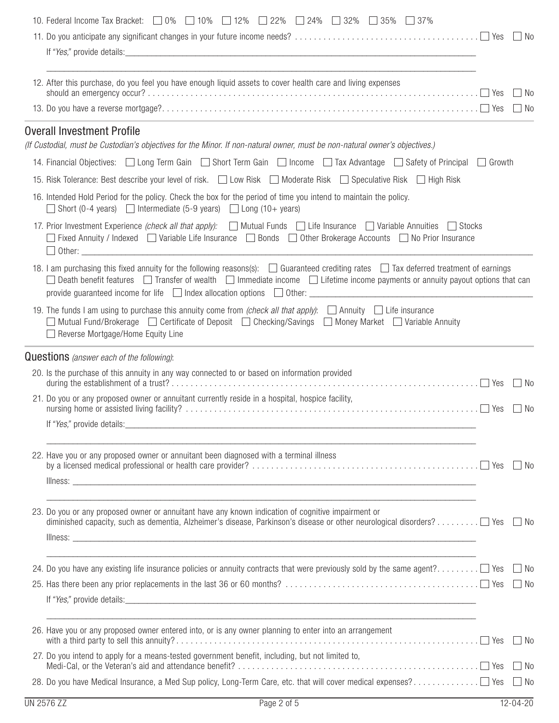| 10. Federal Income Tax Bracket: $\Box$ 0% $\Box$ 10% $\Box$ 12% $\Box$ 22% $\Box$ 24% $\Box$ 32% $\Box$ 35% $\Box$ 37%                                                                                                                                                                                                                                                                            |                    |
|---------------------------------------------------------------------------------------------------------------------------------------------------------------------------------------------------------------------------------------------------------------------------------------------------------------------------------------------------------------------------------------------------|--------------------|
|                                                                                                                                                                                                                                                                                                                                                                                                   |                    |
|                                                                                                                                                                                                                                                                                                                                                                                                   |                    |
| 12. After this purchase, do you feel you have enough liquid assets to cover health care and living expenses                                                                                                                                                                                                                                                                                       | l INo              |
|                                                                                                                                                                                                                                                                                                                                                                                                   | ∣ ∣No              |
| <b>Overall Investment Profile</b>                                                                                                                                                                                                                                                                                                                                                                 |                    |
| (If Custodial, must be Custodian's objectives for the Minor. If non-natural owner, must be non-natural owner's objectives.)                                                                                                                                                                                                                                                                       |                    |
| 14. Financial Objectives: Long Term Gain Short Term Gain D Income D Tax Advantage Safety of Principal D Growth                                                                                                                                                                                                                                                                                    |                    |
| 15. Risk Tolerance: Best describe your level of risk. I Low Risk I Moderate Risk I Speculative Risk I High Risk                                                                                                                                                                                                                                                                                   |                    |
| 16. Intended Hold Period for the policy. Check the box for the period of time you intend to maintain the policy.<br>Short (0-4 years) $\Box$ Intermediate (5-9 years) $\Box$ Long (10+ years)                                                                                                                                                                                                     |                    |
| 17. Prior Investment Experience (check all that apply): Mutual Funds Life Insurance Variable Annuities Stocks<br>Fixed Annuity / Indexed $\Box$ Variable Life Insurance $\Box$ Bonds $\Box$ Other Brokerage Accounts $\Box$ No Prior Insurance                                                                                                                                                    |                    |
| 18. I am purchasing this fixed annuity for the following reasons(s): $\Box$ Guaranteed crediting rates $\Box$ Tax deferred treatment of earnings<br>Death benefit features $\Box$ Transfer of wealth $\Box$ Immediate income $\Box$ Lifetime income payments or annuity payout options that can<br>provide guaranteed income for life $\Box$ Index allocation options $\Box$ Other: $\Box$ Other: |                    |
| 19. The funds I am using to purchase this annuity come from <i>(check all that apply)</i> : $\Box$ Annuity $\Box$ Life insurance<br>Mutual Fund/Brokerage  □ Certificate of Deposit  □ Checking/Savings  □ Money Market □ Variable Annuity<br>Reverse Mortgage/Home Equity Line                                                                                                                   |                    |
| <b>Questions</b> (answer each of the following):                                                                                                                                                                                                                                                                                                                                                  |                    |
| 20. Is the purchase of this annuity in any way connected to or based on information provided                                                                                                                                                                                                                                                                                                      | $\vert$ $\vert$ No |
| 21. Do you or any proposed owner or annuitant currently reside in a hospital, hospice facility,                                                                                                                                                                                                                                                                                                   | $\vert$ $\vert$ No |
| If "Yes," provide details: Note that the same state of the same state of the same state of the same state of the same state of the same state of the same state of the same state of the same state of the same state of the s                                                                                                                                                                    |                    |
| 22. Have you or any proposed owner or annuitant been diagnosed with a terminal illness                                                                                                                                                                                                                                                                                                            |                    |
|                                                                                                                                                                                                                                                                                                                                                                                                   |                    |
| 23. Do you or any proposed owner or annuitant have any known indication of cognitive impairment or                                                                                                                                                                                                                                                                                                |                    |
|                                                                                                                                                                                                                                                                                                                                                                                                   |                    |
| <u> 1989 - Johann Stoff, amerikansk politiker (d. 1989)</u><br>24. Do you have any existing life insurance policies or annuity contracts that were previously sold by the same agent? Yes $\Box$ No                                                                                                                                                                                               |                    |
|                                                                                                                                                                                                                                                                                                                                                                                                   |                    |
|                                                                                                                                                                                                                                                                                                                                                                                                   |                    |
| 26. Have you or any proposed owner entered into, or is any owner planning to enter into an arrangement                                                                                                                                                                                                                                                                                            |                    |
| 27. Do you intend to apply for a means-tested government benefit, including, but not limited to,                                                                                                                                                                                                                                                                                                  |                    |
|                                                                                                                                                                                                                                                                                                                                                                                                   |                    |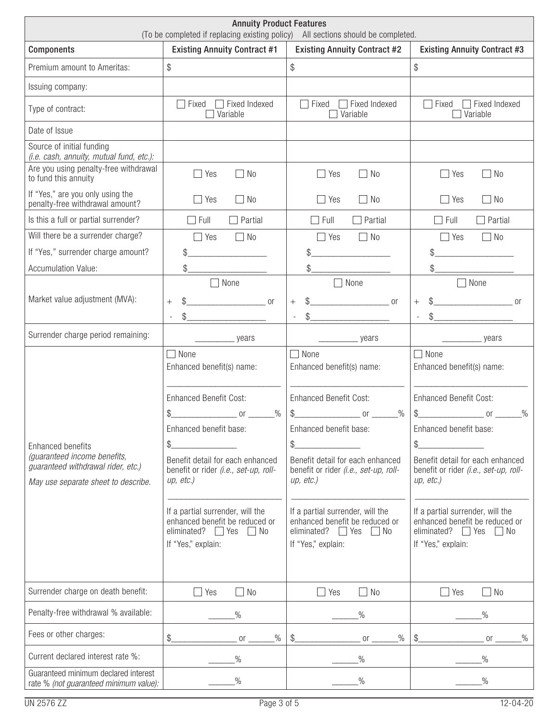| <b>Annuity Product Features</b><br>(To be completed if replacing existing policy) All sections should be completed.                   |                                                                                                                                                                                                                                                                                                                                                                                                                 |                                                                                                                                                                                                                                                                                                                                         |                                                                                                                                                                                                                                                                                                                                                                                                                                                                                                                                                                                             |  |
|---------------------------------------------------------------------------------------------------------------------------------------|-----------------------------------------------------------------------------------------------------------------------------------------------------------------------------------------------------------------------------------------------------------------------------------------------------------------------------------------------------------------------------------------------------------------|-----------------------------------------------------------------------------------------------------------------------------------------------------------------------------------------------------------------------------------------------------------------------------------------------------------------------------------------|---------------------------------------------------------------------------------------------------------------------------------------------------------------------------------------------------------------------------------------------------------------------------------------------------------------------------------------------------------------------------------------------------------------------------------------------------------------------------------------------------------------------------------------------------------------------------------------------|--|
| <b>Existing Annuity Contract #1</b><br><b>Existing Annuity Contract #2</b><br><b>Components</b>                                       |                                                                                                                                                                                                                                                                                                                                                                                                                 |                                                                                                                                                                                                                                                                                                                                         | <b>Existing Annuity Contract #3</b>                                                                                                                                                                                                                                                                                                                                                                                                                                                                                                                                                         |  |
| Premium amount to Ameritas:                                                                                                           | \$                                                                                                                                                                                                                                                                                                                                                                                                              | \$                                                                                                                                                                                                                                                                                                                                      | \$                                                                                                                                                                                                                                                                                                                                                                                                                                                                                                                                                                                          |  |
| Issuing company:                                                                                                                      |                                                                                                                                                                                                                                                                                                                                                                                                                 |                                                                                                                                                                                                                                                                                                                                         |                                                                                                                                                                                                                                                                                                                                                                                                                                                                                                                                                                                             |  |
| Type of contract:                                                                                                                     | Fixed Indexed<br>Fixed<br>Variable                                                                                                                                                                                                                                                                                                                                                                              | Fixed Indexed<br>Fixed<br>Variable                                                                                                                                                                                                                                                                                                      | Fixed Indexed<br>Fixed<br>Variable                                                                                                                                                                                                                                                                                                                                                                                                                                                                                                                                                          |  |
| Date of Issue                                                                                                                         |                                                                                                                                                                                                                                                                                                                                                                                                                 |                                                                                                                                                                                                                                                                                                                                         |                                                                                                                                                                                                                                                                                                                                                                                                                                                                                                                                                                                             |  |
| Source of initial funding<br>(i.e. cash, annuity, mutual fund, etc.):                                                                 |                                                                                                                                                                                                                                                                                                                                                                                                                 |                                                                                                                                                                                                                                                                                                                                         |                                                                                                                                                                                                                                                                                                                                                                                                                                                                                                                                                                                             |  |
| Are you using penalty-free withdrawal<br>to fund this annuity                                                                         | No<br>Yes                                                                                                                                                                                                                                                                                                                                                                                                       | No<br>Yes                                                                                                                                                                                                                                                                                                                               | Yes<br>No                                                                                                                                                                                                                                                                                                                                                                                                                                                                                                                                                                                   |  |
| If "Yes," are you only using the<br>penalty-free withdrawal amount?                                                                   | No<br>Yes                                                                                                                                                                                                                                                                                                                                                                                                       | <b>No</b><br>Yes<br>I.                                                                                                                                                                                                                                                                                                                  | Yes<br>No<br>$\vert \ \ \vert$                                                                                                                                                                                                                                                                                                                                                                                                                                                                                                                                                              |  |
| Is this a full or partial surrender?                                                                                                  | Full<br>Partial                                                                                                                                                                                                                                                                                                                                                                                                 | Partial<br>Full                                                                                                                                                                                                                                                                                                                         | Partial<br>Full                                                                                                                                                                                                                                                                                                                                                                                                                                                                                                                                                                             |  |
| Will there be a surrender charge?                                                                                                     | $\Box$ No<br>Yes                                                                                                                                                                                                                                                                                                                                                                                                | No<br>Yes<br>$\perp$                                                                                                                                                                                                                                                                                                                    | $\Box$ No<br>Yes                                                                                                                                                                                                                                                                                                                                                                                                                                                                                                                                                                            |  |
| If "Yes," surrender charge amount?                                                                                                    |                                                                                                                                                                                                                                                                                                                                                                                                                 |                                                                                                                                                                                                                                                                                                                                         | \$                                                                                                                                                                                                                                                                                                                                                                                                                                                                                                                                                                                          |  |
| <b>Accumulation Value:</b>                                                                                                            | \$                                                                                                                                                                                                                                                                                                                                                                                                              | \$                                                                                                                                                                                                                                                                                                                                      | \$                                                                                                                                                                                                                                                                                                                                                                                                                                                                                                                                                                                          |  |
| Market value adjustment (MVA):                                                                                                        | $\Box$ None<br>$\overline{\phantom{a}}$ or<br>$^{+}$<br>\$<br>L,                                                                                                                                                                                                                                                                                                                                                | $\Box$ None<br><b>or</b><br>$+$<br>\$<br>$\overline{\phantom{a}}$                                                                                                                                                                                                                                                                       | $\Box$ None<br>$\overline{\phantom{a}}$ or<br>$+$<br>\$<br>$\overline{\phantom{a}}$                                                                                                                                                                                                                                                                                                                                                                                                                                                                                                         |  |
| Surrender charge period remaining:                                                                                                    | years                                                                                                                                                                                                                                                                                                                                                                                                           | years                                                                                                                                                                                                                                                                                                                                   | years                                                                                                                                                                                                                                                                                                                                                                                                                                                                                                                                                                                       |  |
| <b>Enhanced benefits</b><br>(guaranteed income benefits,<br>guaranteed withdrawal rider, etc.)<br>May use separate sheet to describe. | None<br>Enhanced benefit(s) name:<br><b>Enhanced Benefit Cost:</b><br>\$_<br>$\frac{0}{0}$<br>$\overline{\phantom{a}}$ or $\overline{\phantom{a}}$<br>Enhanced benefit base:<br>\$<br>Benefit detail for each enhanced<br>benefit or rider (i.e., set-up, roll-<br>up, etc.)<br>If a partial surrender, will the<br>enhanced benefit be reduced or<br>eliminated? $\Box$ Yes<br>$\Box$ No<br>If "Yes," explain: | None<br>Enhanced benefit(s) name:<br><b>Enhanced Benefit Cost:</b><br>$\%$<br>Enhanced benefit base:<br>\$<br>Benefit detail for each enhanced<br>benefit or rider (i.e., set-up, roll-<br>up, etc.)<br>If a partial surrender, will the<br>enhanced benefit be reduced or<br>eliminated? $\Box$ Yes<br>$\Box$ No<br>If "Yes," explain: | None<br>Enhanced benefit(s) name:<br><b>Enhanced Benefit Cost:</b><br>$\frac{1}{2}$<br>$\%$<br><b>Solution Street Service Street Service Street Service Street Service Street Service Street Service Street Service Street Service Street Service Street Service Street Service Street Service Street Service Street Service St</b><br>Enhanced benefit base:<br>\$<br>Benefit detail for each enhanced<br>benefit or rider (i.e., set-up, roll-<br>up, etc.)<br>If a partial surrender, will the<br>enhanced benefit be reduced or<br>eliminated? $\Box$ Yes<br>  No<br>If "Yes," explain: |  |
| Surrender charge on death benefit:<br>Penalty-free withdrawal % available:<br>Fees or other charges:                                  | Yes<br>N <sub>0</sub><br>$\%$<br>\$_<br>$\%$<br>or                                                                                                                                                                                                                                                                                                                                                              | N <sub>0</sub><br>Yes<br>$\%$<br>$\frac{1}{2}$<br>$\%$<br>0r                                                                                                                                                                                                                                                                            | $\Box$ No<br>Yes<br>$\%$<br>\$<br>$\%$<br>0r                                                                                                                                                                                                                                                                                                                                                                                                                                                                                                                                                |  |
| Current declared interest rate %:                                                                                                     | $\%$                                                                                                                                                                                                                                                                                                                                                                                                            | $\%$                                                                                                                                                                                                                                                                                                                                    | $\%$                                                                                                                                                                                                                                                                                                                                                                                                                                                                                                                                                                                        |  |
| Guaranteed minimum declared interest<br>rate % (not guaranteed minimum value):                                                        | $\%$                                                                                                                                                                                                                                                                                                                                                                                                            | $\%$                                                                                                                                                                                                                                                                                                                                    | $\%$                                                                                                                                                                                                                                                                                                                                                                                                                                                                                                                                                                                        |  |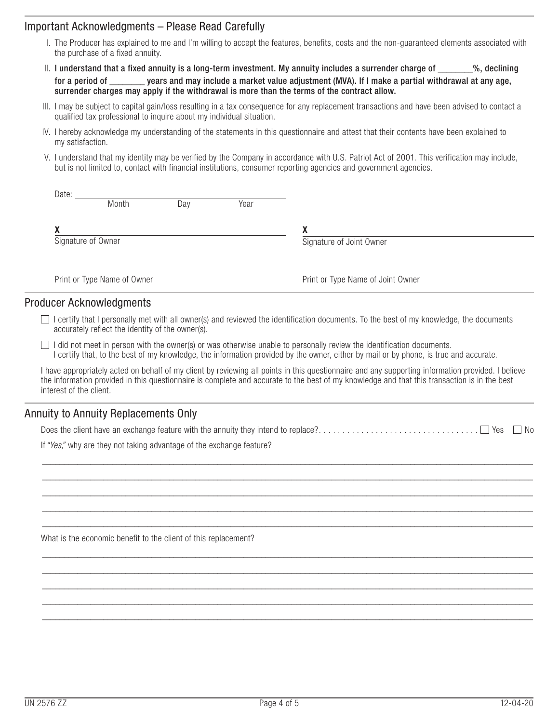## Important Acknowledgments – Please Read Carefully

- I. The Producer has explained to me and I'm willing to accept the features, benefits, costs and the non-guaranteed elements associated with the purchase of a fixed annuity.
- $II.$  I understand that a fixed annuity is a long-term investment. My annuity includes a surrender charge of  $\sim$  %, declining for a period of \_\_\_\_\_\_\_\_ years and may include a market value adjustment (MVA). If I make a partial withdrawal at any age, surrender charges may apply if the withdrawal is more than the terms of the contract allow.
- III. I may be subject to capital gain/loss resulting in a tax consequence for any replacement transactions and have been advised to contact a qualified tax professional to inquire about my individual situation.
- IV. I hereby acknowledge my understanding of the statements in this questionnaire and attest that their contents have been explained to my satisfaction.
- V. I understand that my identity may be verified by the Company in accordance with U.S. Patriot Act of 2001. This verification may include, but is not limited to, contact with financial institutions, consumer reporting agencies and government agencies.

| Date: |                             |     |      |                                   |  |
|-------|-----------------------------|-----|------|-----------------------------------|--|
|       | Month                       | Day | Year |                                   |  |
|       |                             |     |      |                                   |  |
| v     |                             |     |      | χ                                 |  |
|       | Signature of Owner          |     |      | Signature of Joint Owner          |  |
|       |                             |     |      |                                   |  |
|       |                             |     |      |                                   |  |
|       | Print or Type Name of Owner |     |      | Print or Type Name of Joint Owner |  |
|       |                             |     |      |                                   |  |

## Producer Acknowledgments

- $\Box$  I certify that I personally met with all owner(s) and reviewed the identification documents. To the best of my knowledge, the documents accurately reflect the identity of the owner(s).
- $\Box$  I did not meet in person with the owner(s) or was otherwise unable to personally review the identification documents. I certify that, to the best of my knowledge, the information provided by the owner, either by mail or by phone, is true and accurate.

I have appropriately acted on behalf of my client by reviewing all points in this questionnaire and any supporting information provided. I believe the information provided in this questionnaire is complete and accurate to the best of my knowledge and that this transaction is in the best interest of the client.

## Annuity to Annuity Replacements Only

|--|--|--|--|

 $\_$  , and the set of the set of the set of the set of the set of the set of the set of the set of the set of the set of the set of the set of the set of the set of the set of the set of the set of the set of the set of th \_\_\_\_\_\_\_\_\_\_\_\_\_\_\_\_\_\_\_\_\_\_\_\_\_\_\_\_\_\_\_\_\_\_\_\_\_\_\_\_\_\_\_\_\_\_\_\_\_\_\_\_\_\_\_\_\_\_\_\_\_\_\_\_\_\_\_\_\_\_\_\_\_\_\_\_\_\_\_\_\_\_\_\_\_\_\_\_\_\_\_\_\_\_\_\_\_\_\_\_\_\_\_\_\_\_\_\_\_\_\_\_ \_\_\_\_\_\_\_\_\_\_\_\_\_\_\_\_\_\_\_\_\_\_\_\_\_\_\_\_\_\_\_\_\_\_\_\_\_\_\_\_\_\_\_\_\_\_\_\_\_\_\_\_\_\_\_\_\_\_\_\_\_\_\_\_\_\_\_\_\_\_\_\_\_\_\_\_\_\_\_\_\_\_\_\_\_\_\_\_\_\_\_\_\_\_\_\_\_\_\_\_\_\_\_\_\_\_\_\_\_\_\_\_  $\_$  , and the set of the set of the set of the set of the set of the set of the set of the set of the set of the set of the set of the set of the set of the set of the set of the set of the set of the set of the set of th \_\_\_\_\_\_\_\_\_\_\_\_\_\_\_\_\_\_\_\_\_\_\_\_\_\_\_\_\_\_\_\_\_\_\_\_\_\_\_\_\_\_\_\_\_\_\_\_\_\_\_\_\_\_\_\_\_\_\_\_\_\_\_\_\_\_\_\_\_\_\_\_\_\_\_\_\_\_\_\_\_\_\_\_\_\_\_\_\_\_\_\_\_\_\_\_\_\_\_\_\_\_\_\_\_\_\_\_\_\_\_\_

 $\_$  , and the set of the set of the set of the set of the set of the set of the set of the set of the set of the set of the set of the set of the set of the set of the set of the set of the set of the set of the set of th \_\_\_\_\_\_\_\_\_\_\_\_\_\_\_\_\_\_\_\_\_\_\_\_\_\_\_\_\_\_\_\_\_\_\_\_\_\_\_\_\_\_\_\_\_\_\_\_\_\_\_\_\_\_\_\_\_\_\_\_\_\_\_\_\_\_\_\_\_\_\_\_\_\_\_\_\_\_\_\_\_\_\_\_\_\_\_\_\_\_\_\_\_\_\_\_\_\_\_\_\_\_\_\_\_\_\_\_\_\_\_\_ \_\_\_\_\_\_\_\_\_\_\_\_\_\_\_\_\_\_\_\_\_\_\_\_\_\_\_\_\_\_\_\_\_\_\_\_\_\_\_\_\_\_\_\_\_\_\_\_\_\_\_\_\_\_\_\_\_\_\_\_\_\_\_\_\_\_\_\_\_\_\_\_\_\_\_\_\_\_\_\_\_\_\_\_\_\_\_\_\_\_\_\_\_\_\_\_\_\_\_\_\_\_\_\_\_\_\_\_\_\_\_\_  $\_$  , and the set of the set of the set of the set of the set of the set of the set of the set of the set of the set of the set of the set of the set of the set of the set of the set of the set of the set of the set of th \_\_\_\_\_\_\_\_\_\_\_\_\_\_\_\_\_\_\_\_\_\_\_\_\_\_\_\_\_\_\_\_\_\_\_\_\_\_\_\_\_\_\_\_\_\_\_\_\_\_\_\_\_\_\_\_\_\_\_\_\_\_\_\_\_\_\_\_\_\_\_\_\_\_\_\_\_\_\_\_\_\_\_\_\_\_\_\_\_\_\_\_\_\_\_\_\_\_\_\_\_\_\_\_\_\_\_\_\_\_\_\_

If *"Yes,"* why are they not taking advantage of the exchange feature?

What is the economic benefit to the client of this replacement?